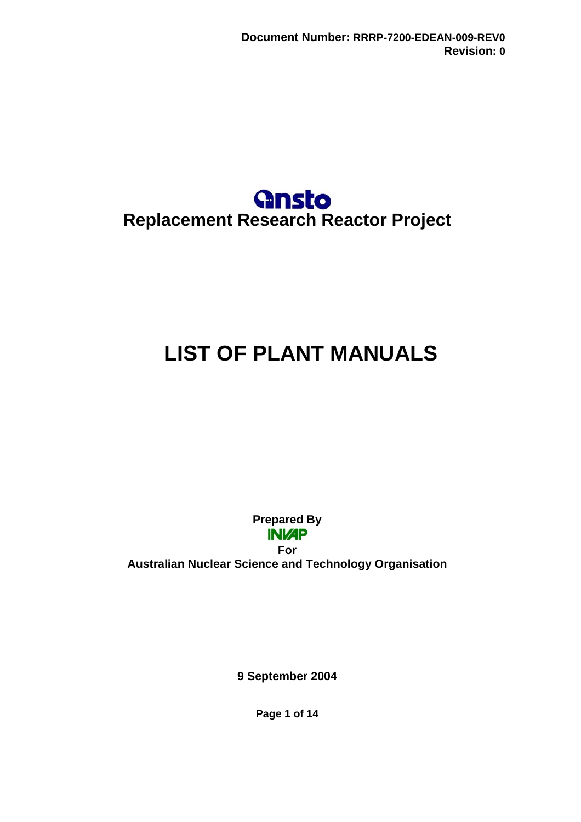

# <span id="page-0-0"></span>**LIST OF PLANT MANUALS**

**Prepared By INVAP** 

**For Australian Nuclear Science and Technology Organisation** 

**9 September 2004** 

**Page 1 of 14**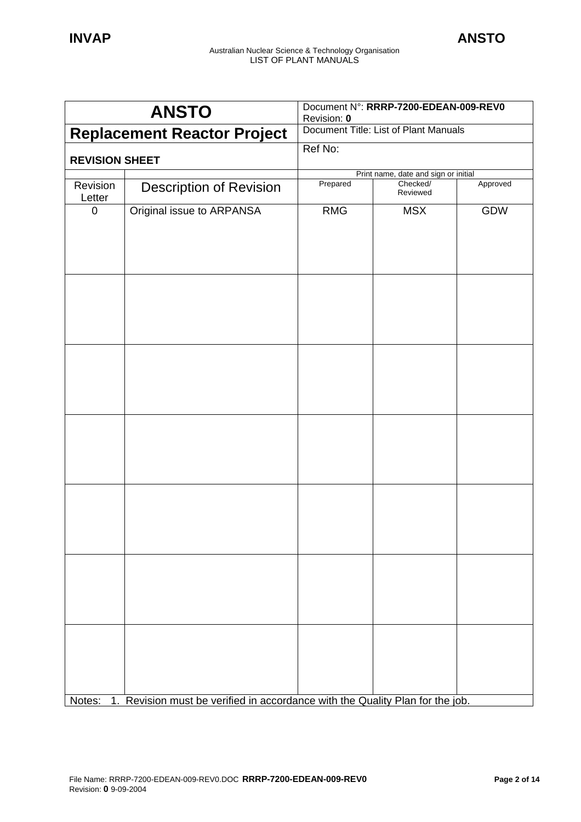| <b>ANSTO</b>                       |                                                                                      | Document N°: RRRP-7200-EDEAN-009-REV0<br>Revision: 0 |                                      |          |
|------------------------------------|--------------------------------------------------------------------------------------|------------------------------------------------------|--------------------------------------|----------|
| <b>Replacement Reactor Project</b> |                                                                                      | Document Title: List of Plant Manuals                |                                      |          |
| <b>REVISION SHEET</b>              |                                                                                      | Ref No:                                              |                                      |          |
|                                    |                                                                                      |                                                      | Print name, date and sign or initial |          |
| Revision<br>Letter                 | <b>Description of Revision</b>                                                       | Prepared                                             | Checked/<br>Reviewed                 | Approved |
| $\boldsymbol{0}$                   | Original issue to ARPANSA                                                            | <b>RMG</b>                                           | <b>MSX</b>                           | GDW      |
|                                    |                                                                                      |                                                      |                                      |          |
|                                    |                                                                                      |                                                      |                                      |          |
|                                    |                                                                                      |                                                      |                                      |          |
|                                    |                                                                                      |                                                      |                                      |          |
|                                    |                                                                                      |                                                      |                                      |          |
|                                    |                                                                                      |                                                      |                                      |          |
|                                    |                                                                                      |                                                      |                                      |          |
|                                    |                                                                                      |                                                      |                                      |          |
|                                    | Notes: 1. Revision must be verified in accordance with the Quality Plan for the job. |                                                      |                                      |          |

Notes: 1. Revision must be verified in accordance with the Quality Plan for the job.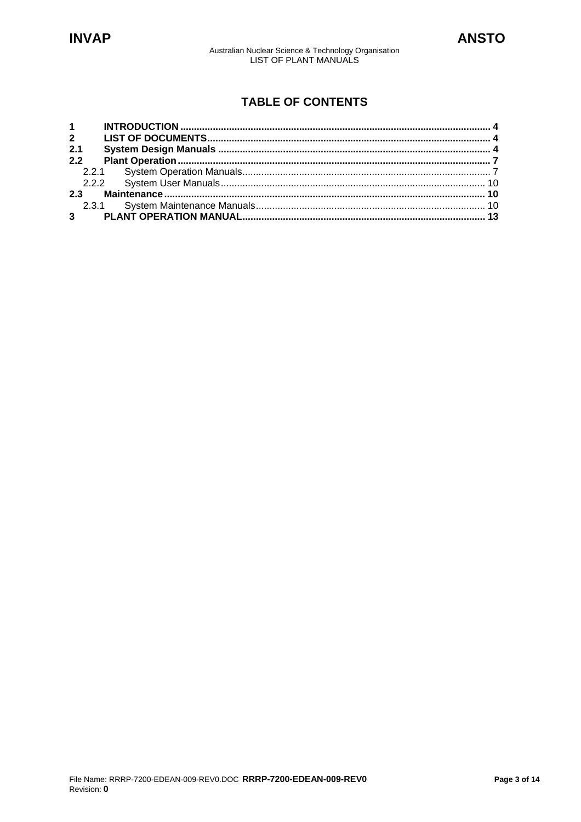Australian Nuclear Science & Technology Organisation<br>LIST OF PLANT MANUALS

# **TABLE OF CONTENTS**

| $1 \quad$   |  |
|-------------|--|
|             |  |
| 2.1         |  |
| 2.2         |  |
|             |  |
|             |  |
|             |  |
|             |  |
| $3^{\circ}$ |  |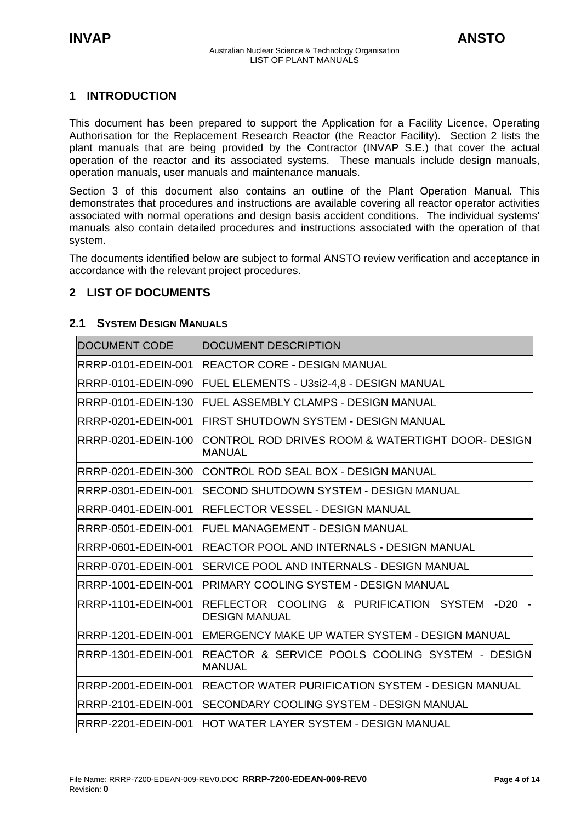## <span id="page-3-0"></span>**1 INTRODUCTION**

This document has been prepared to support the Application for a Facility Licence, Operating Authorisation for the Replacement Research Reactor (the Reactor Facility). Section 2 lists the plant manuals that are being provided by the Contractor (INVAP S.E.) that cover the actual operation of the reactor and its associated systems. These manuals include design manuals, operation manuals, user manuals and maintenance manuals.

Section 3 of this document also contains an outline of the Plant Operation Manual. This demonstrates that procedures and instructions are available covering all reactor operator activities associated with normal operations and design basis accident conditions. The individual systems' manuals also contain detailed procedures and instructions associated with the operation of that system.

The documents identified below are subject to formal ANSTO review verification and acceptance in accordance with the relevant project procedures.

## **2 LIST OF DOCUMENTS**

### **2.1 SYSTEM DESIGN MANUALS**

| <b>DOCUMENT CODE</b>       | DOCUMENT DESCRIPTION                                                    |
|----------------------------|-------------------------------------------------------------------------|
| RRRP-0101-EDEIN-001        | <b>REACTOR CORE - DESIGN MANUAL</b>                                     |
| RRRP-0101-EDEIN-090        | FUEL ELEMENTS - U3si2-4,8 - DESIGN MANUAL                               |
| RRRP-0101-EDEIN-130        | FUEL ASSEMBLY CLAMPS - DESIGN MANUAL                                    |
| RRRP-0201-EDEIN-001        | FIRST SHUTDOWN SYSTEM - DESIGN MANUAL                                   |
| RRRP-0201-EDEIN-100        | CONTROL ROD DRIVES ROOM & WATERTIGHT DOOR- DESIGN<br><b>MANUAL</b>      |
| RRRP-0201-EDEIN-300        | ICONTROL ROD SEAL BOX - DESIGN MANUAL                                   |
| RRRP-0301-EDEIN-001        | SECOND SHUTDOWN SYSTEM - DESIGN MANUAL                                  |
| RRRP-0401-EDEIN-001        | REFLECTOR VESSEL - DESIGN MANUAL                                        |
| RRRP-0501-EDEIN-001        | FUEL MANAGEMENT - DESIGN MANUAL                                         |
| RRRP-0601-EDEIN-001        | REACTOR POOL AND INTERNALS - DESIGN MANUAL                              |
| RRRP-0701-EDEIN-001        | SERVICE POOL AND INTERNALS - DESIGN MANUAL                              |
| RRRP-1001-EDEIN-001        | PRIMARY COOLING SYSTEM - DESIGN MANUAL                                  |
| RRRP-1101-EDEIN-001        | REFLECTOR COOLING & PURIFICATION SYSTEM<br>-D20<br><b>DESIGN MANUAL</b> |
| RRRP-1201-EDEIN-001        | IEMERGENCY MAKE UP WATER SYSTEM - DESIGN MANUAL                         |
| RRRP-1301-EDEIN-001        | IREACTOR & SERVICE POOLS COOLING SYSTEM - DESIGNI<br><b>MANUAL</b>      |
| RRRP-2001-EDEIN-001        | IREACTOR WATER PURIFICATION SYSTEM - DESIGN MANUAL                      |
| <b>RRRP-2101-EDEIN-001</b> | ISECONDARY COOLING SYSTEM - DESIGN MANUAL                               |
| RRRP-2201-EDEIN-001        | IHOT WATER LAYER SYSTEM - DESIGN MANUAL                                 |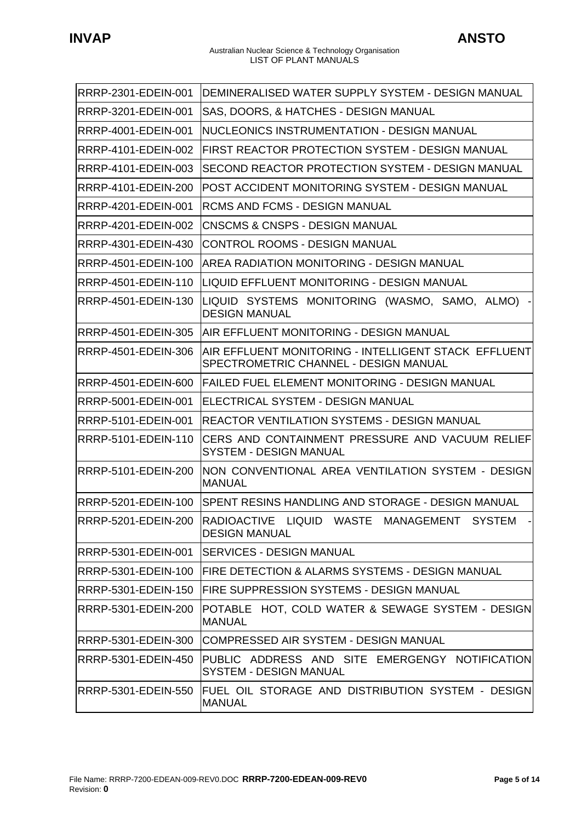ř.

| RRRP-2301-EDEIN-001 | IDEMINERALISED WATER SUPPLY SYSTEM - DESIGN MANUAL                                            |
|---------------------|-----------------------------------------------------------------------------------------------|
| RRRP-3201-EDEIN-001 | SAS, DOORS, & HATCHES - DESIGN MANUAL                                                         |
| RRRP-4001-EDEIN-001 | NUCLEONICS INSTRUMENTATION - DESIGN MANUAL                                                    |
| RRRP-4101-EDEIN-002 | FIRST REACTOR PROTECTION SYSTEM - DESIGN MANUAL                                               |
| RRRP-4101-EDEIN-003 | SECOND REACTOR PROTECTION SYSTEM - DESIGN MANUAL                                              |
| RRRP-4101-EDEIN-200 | POST ACCIDENT MONITORING SYSTEM - DESIGN MANUAL                                               |
| RRRP-4201-EDEIN-001 | IRCMS AND FCMS - DESIGN MANUAL                                                                |
| RRRP-4201-EDEIN-002 | <b>CNSCMS &amp; CNSPS - DESIGN MANUAL</b>                                                     |
| RRRP-4301-EDEIN-430 | <b>CONTROL ROOMS - DESIGN MANUAL</b>                                                          |
| RRRP-4501-EDEIN-100 | AREA RADIATION MONITORING - DESIGN MANUAL                                                     |
| RRRP-4501-EDEIN-110 | LIQUID EFFLUENT MONITORING - DESIGN MANUAL                                                    |
| RRRP-4501-EDEIN-130 | LIQUID SYSTEMS MONITORING (WASMO, SAMO, ALMO)<br><b>DESIGN MANUAL</b>                         |
| RRRP-4501-EDEIN-305 | IAIR EFFLUENT MONITORING - DESIGN MANUAL                                                      |
| RRRP-4501-EDEIN-306 | AIR EFFLUENT MONITORING - INTELLIGENT STACK EFFLUENT<br>SPECTROMETRIC CHANNEL - DESIGN MANUAL |
| RRRP-4501-EDEIN-600 | <b>FAILED FUEL ELEMENT MONITORING - DESIGN MANUAL</b>                                         |
| RRRP-5001-EDEIN-001 | ELECTRICAL SYSTEM - DESIGN MANUAL                                                             |
| RRRP-5101-EDEIN-001 | REACTOR VENTILATION SYSTEMS - DESIGN MANUAL                                                   |
| RRRP-5101-EDEIN-110 | CERS AND CONTAINMENT PRESSURE AND VACUUM RELIEF<br><b>SYSTEM - DESIGN MANUAL</b>              |
| RRRP-5101-EDEIN-200 | INON CONVENTIONAL AREA VENTILATION SYSTEM - DESIGN<br><b>MANUAL</b>                           |
| RRRP-5201-EDEIN-100 | ISPENT RESINS HANDLING AND STORAGE - DESIGN MANUAL                                            |
| RRRP-5201-EDEIN-200 | RADIOACTIVE LIQUID WASTE MANAGEMENT SYSTEM<br><b>DESIGN MANUAL</b>                            |
| RRRP-5301-EDEIN-001 | ISERVICES - DESIGN MANUAL                                                                     |
| RRRP-5301-EDEIN-100 | FIRE DETECTION & ALARMS SYSTEMS - DESIGN MANUAL                                               |
| RRRP-5301-EDEIN-150 | <b>FIRE SUPPRESSION SYSTEMS - DESIGN MANUAL</b>                                               |
| RRRP-5301-EDEIN-200 | POTABLE HOT, COLD WATER & SEWAGE SYSTEM - DESIGN<br><b>MANUAL</b>                             |
| RRRP-5301-EDEIN-300 | COMPRESSED AIR SYSTEM - DESIGN MANUAL                                                         |
| RRRP-5301-EDEIN-450 | PUBLIC ADDRESS AND SITE EMERGENGY NOTIFICATION<br><b>SYSTEM - DESIGN MANUAL</b>               |
| RRRP-5301-EDEIN-550 | FUEL OIL STORAGE AND DISTRIBUTION SYSTEM - DESIGN<br><b>MANUAL</b>                            |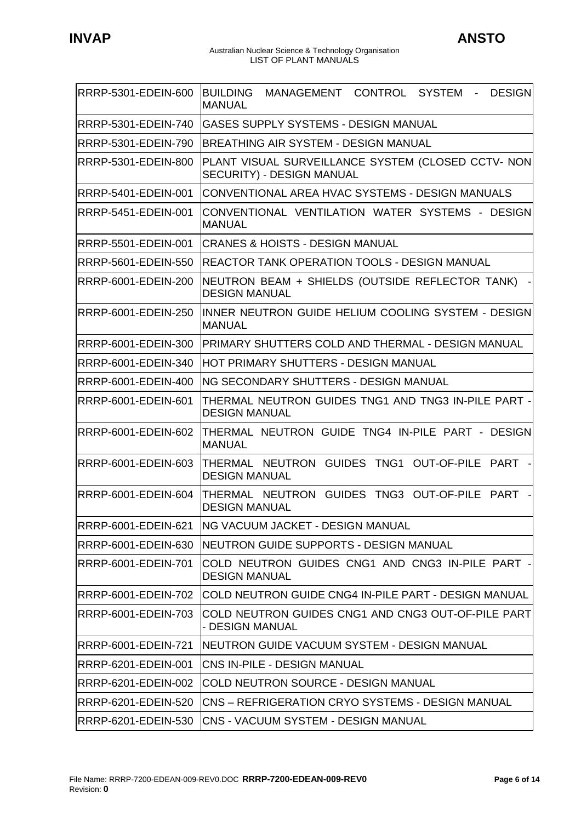$\ddot{\phantom{1}}$ 

#### Australian Nuclear Science & Technology Organisation LIST OF PLANT MANUALS

| RRRP-5301-EDEIN-600 | CONTROL SYSTEM<br><b>DESIGN</b><br><b>BUILDING</b><br>MANAGEMENT<br>$\sim 100$<br><b>MANUAL</b> |
|---------------------|-------------------------------------------------------------------------------------------------|
| RRRP-5301-EDEIN-740 | GASES SUPPLY SYSTEMS - DESIGN MANUAL                                                            |
| RRRP-5301-EDEIN-790 | <b>BREATHING AIR SYSTEM - DESIGN MANUAL</b>                                                     |
| RRRP-5301-EDEIN-800 | PLANT VISUAL SURVEILLANCE SYSTEM (CLOSED CCTV- NON<br>SECURITY) - DESIGN MANUAL                 |
| RRRP-5401-EDEIN-001 | CONVENTIONAL AREA HVAC SYSTEMS - DESIGN MANUALS                                                 |
| RRRP-5451-EDEIN-001 | CONVENTIONAL VENTILATION WATER SYSTEMS - DESIGN<br><b>MANUAL</b>                                |
| RRRP-5501-EDEIN-001 | CRANES & HOISTS - DESIGN MANUAL                                                                 |
| RRRP-5601-EDEIN-550 | <b>REACTOR TANK OPERATION TOOLS - DESIGN MANUAL</b>                                             |
| RRRP-6001-EDEIN-200 | NEUTRON BEAM + SHIELDS (OUTSIDE REFLECTOR TANK)<br><b>DESIGN MANUAL</b>                         |
| RRRP-6001-EDEIN-250 | INNER NEUTRON GUIDE HELIUM COOLING SYSTEM - DESIGN<br><b>MANUAL</b>                             |
| RRRP-6001-EDEIN-300 | PRIMARY SHUTTERS COLD AND THERMAL - DESIGN MANUAL                                               |
| RRRP-6001-EDEIN-340 | HOT PRIMARY SHUTTERS - DESIGN MANUAL                                                            |
| RRRP-6001-EDEIN-400 | ING SECONDARY SHUTTERS - DESIGN MANUAL                                                          |
| RRRP-6001-EDEIN-601 | THERMAL NEUTRON GUIDES TNG1 AND TNG3 IN-PILE PART -<br><b>DESIGN MANUAL</b>                     |
| RRRP-6001-EDEIN-602 | THERMAL NEUTRON GUIDE TNG4 IN-PILE PART - DESIGN<br><b>MANUAL</b>                               |
| RRRP-6001-EDEIN-603 | THERMAL NEUTRON GUIDES TNG1 OUT-OF-PILE PART -<br><b>DESIGN MANUAL</b>                          |
|                     | RRRP-6001-EDEIN-604  THERMAL NEUTRON GUIDES TNG3 OUT-OF-PILE PART<br><b>DESIGN MANUAL</b>       |
| RRRP-6001-EDEIN-621 | <b>ING VACUUM JACKET - DESIGN MANUAL</b>                                                        |
| RRRP-6001-EDEIN-630 | NEUTRON GUIDE SUPPORTS - DESIGN MANUAL                                                          |
| RRRP-6001-EDEIN-701 | COLD NEUTRON GUIDES CNG1 AND CNG3 IN-PILE PART -<br><b>DESIGN MANUAL</b>                        |
| RRRP-6001-EDEIN-702 | ICOLD NEUTRON GUIDE CNG4 IN-PILE PART - DESIGN MANUAL                                           |
| RRRP-6001-EDEIN-703 | COLD NEUTRON GUIDES CNG1 AND CNG3 OUT-OF-PILE PART<br>- DESIGN MANUAL                           |
| RRRP-6001-EDEIN-721 | NEUTRON GUIDE VACUUM SYSTEM - DESIGN MANUAL                                                     |
| RRRP-6201-EDEIN-001 | CNS IN-PILE - DESIGN MANUAL                                                                     |
| RRRP-6201-EDEIN-002 | COLD NEUTRON SOURCE - DESIGN MANUAL                                                             |
| RRRP-6201-EDEIN-520 | CNS – REFRIGERATION CRYO SYSTEMS - DESIGN MANUAL                                                |
| RRRP-6201-EDEIN-530 | ICNS - VACUUM SYSTEM - DESIGN MANUAL                                                            |

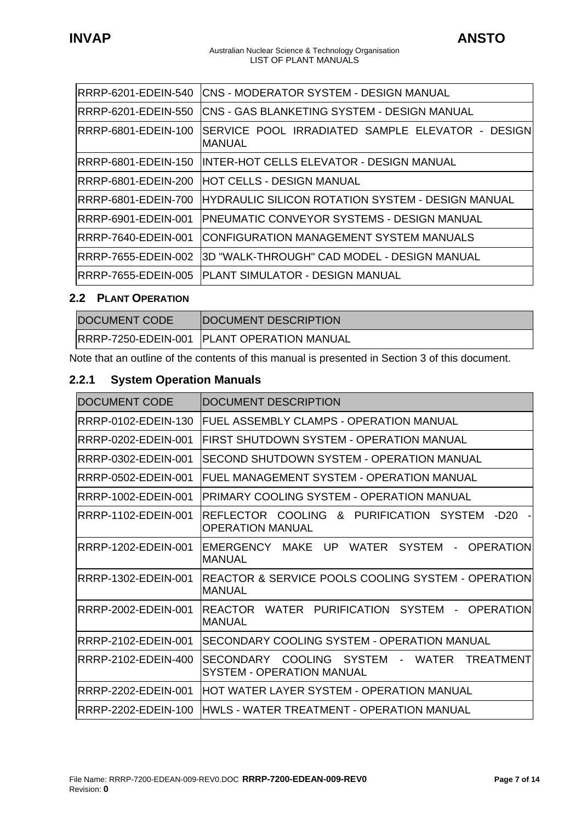<span id="page-6-0"></span>

| RRRP-6201-EDEIN-540         | ICNS - MODERATOR SYSTEM - DESIGN MANUAL                            |
|-----------------------------|--------------------------------------------------------------------|
| RRRP-6201-EDEIN-550         | <b>CNS - GAS BLANKETING SYSTEM - DESIGN MANUAL</b>                 |
| IRRRP-6801-EDEIN-100        | SERVICE POOL IRRADIATED SAMPLE ELEVATOR - DESIGNI<br><b>MANUAL</b> |
|                             | IRRRP-6801-EDEIN-150  IINTER-HOT CELLS ELEVATOR - DESIGN MANUAL    |
| RRRP-6801-EDEIN-200         | <b>HOT CELLS - DESIGN MANUAL</b>                                   |
| RRRP-6801-EDEIN-700         | <b>HYDRAULIC SILICON ROTATION SYSTEM - DESIGN MANUAL</b>           |
| <b>RRRP-6901-EDEIN-001</b>  | IPNEUMATIC CONVEYOR SYSTEMS - DESIGN MANUAL                        |
| <b>IRRRP-7640-EDEIN-001</b> | ICONFIGURATION MANAGEMENT SYSTEM MANUALS                           |
| RRRP-7655-EDEIN-002         | I3D "WALK-THROUGH" CAD MODEL - DESIGN MANUAL                       |
|                             |                                                                    |
|                             |                                                                    |

# **2.2 PLANT OPERATION**

| <b>DOCUMENT CODE</b> | <b>DOCUMENT DESCRIPTION</b>                       |
|----------------------|---------------------------------------------------|
|                      | <b>RRRP-7250-EDEIN-001 PLANT OPERATION MANUAL</b> |

Note that an outline of the contents of this manual is presented in Section 3 of this document.

# **2.2.1 System Operation Manuals**

| <b>DOCUMENT CODE</b> | <b>DOCUMENT DESCRIPTION</b>                                                                                |
|----------------------|------------------------------------------------------------------------------------------------------------|
| RRRP-0102-EDEIN-130  | FUEL ASSEMBLY CLAMPS - OPERATION MANUAL                                                                    |
| RRRP-0202-EDEIN-001  | FIRST SHUTDOWN SYSTEM - OPERATION MANUAL                                                                   |
| RRRP-0302-EDEIN-001  | SECOND SHUTDOWN SYSTEM - OPERATION MANUAL                                                                  |
| RRRP-0502-EDEIN-001  | FUEL MANAGEMENT SYSTEM - OPERATION MANUAL                                                                  |
| IRRRP-1002-EDEIN-001 | PRIMARY COOLING SYSTEM - OPERATION MANUAL                                                                  |
| IRRRP-1102-EDEIN-001 | REFLECTOR COOLING & PURIFICATION SYSTEM<br>-D20<br>$\overline{\phantom{a}}$<br><b>OPERATION MANUAL</b>     |
| IRRRP-1202-EDEIN-001 | EMERGENCY MAKE UP WATER SYSTEM<br>- OPERATION<br>IMANUAL                                                   |
| RRRP-1302-EDEIN-001  | REACTOR & SERVICE POOLS COOLING SYSTEM - OPERATION<br>IMANUAL                                              |
| IRRRP-2002-EDEIN-001 | WATER PURIFICATION SYSTEM - OPERATION<br>REACTOR<br>IMANUAL                                                |
| RRRP-2102-EDEIN-001  | SECONDARY COOLING SYSTEM - OPERATION MANUAL                                                                |
| RRRP-2102-EDEIN-400  | SECONDARY COOLING SYSTEM<br><b>WATER</b><br><b>TREATMENT</b><br>$\sim$<br><b>SYSTEM - OPERATION MANUAL</b> |
| RRRP-2202-EDEIN-001  | HOT WATER LAYER SYSTEM - OPERATION MANUAL                                                                  |
| RRRP-2202-EDEIN-100  | IHWLS - WATER TREATMENT - OPERATION MANUAL                                                                 |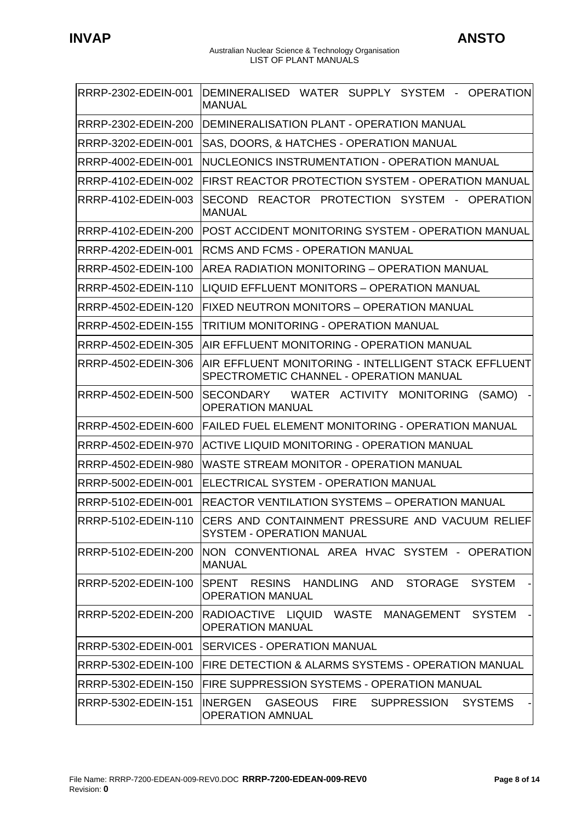$\ddot{\phantom{1}}$ 

#### Australian Nuclear Science & Technology Organisation LIST OF PLANT MANUALS

| RRRP-2302-EDEIN-001        | DEMINERALISED WATER SUPPLY SYSTEM - OPERATION<br><b>MANUAL</b>                                               |
|----------------------------|--------------------------------------------------------------------------------------------------------------|
| RRRP-2302-EDEIN-200        | DEMINERALISATION PLANT - OPERATION MANUAL                                                                    |
| RRRP-3202-EDEIN-001        | SAS, DOORS, & HATCHES - OPERATION MANUAL                                                                     |
| RRRP-4002-EDEIN-001        | NUCLEONICS INSTRUMENTATION - OPERATION MANUAL                                                                |
| RRRP-4102-EDEIN-002        | FIRST REACTOR PROTECTION SYSTEM - OPERATION MANUAL                                                           |
| RRRP-4102-EDEIN-003        | SECOND REACTOR PROTECTION SYSTEM - OPERATION<br><b>MANUAL</b>                                                |
| RRRP-4102-EDEIN-200        | POST ACCIDENT MONITORING SYSTEM - OPERATION MANUAL                                                           |
| RRRP-4202-EDEIN-001        | <b>RCMS AND FCMS - OPERATION MANUAL</b>                                                                      |
| RRRP-4502-EDEIN-100        | <b>AREA RADIATION MONITORING - OPERATION MANUAL</b>                                                          |
| RRRP-4502-EDEIN-110        | LIQUID EFFLUENT MONITORS - OPERATION MANUAL                                                                  |
| RRRP-4502-EDEIN-120        | <b>FIXED NEUTRON MONITORS - OPERATION MANUAL</b>                                                             |
| RRRP-4502-EDEIN-155        | TRITIUM MONITORING - OPERATION MANUAL                                                                        |
| RRRP-4502-EDEIN-305        | AIR EFFLUENT MONITORING - OPERATION MANUAL                                                                   |
| RRRP-4502-EDEIN-306        | AIR EFFLUENT MONITORING - INTELLIGENT STACK EFFLUENT<br>SPECTROMETIC CHANNEL - OPERATION MANUAL              |
| RRRP-4502-EDEIN-500        | WATER ACTIVITY MONITORING<br><b>SECONDARY</b><br>(SAMO)<br><b>OPERATION MANUAL</b>                           |
| RRRP-4502-EDEIN-600        | <b>FAILED FUEL ELEMENT MONITORING - OPERATION MANUAL</b>                                                     |
| RRRP-4502-EDEIN-970        | ACTIVE LIQUID MONITORING - OPERATION MANUAL                                                                  |
| RRRP-4502-EDEIN-980        | WASTE STREAM MONITOR - OPERATION MANUAL                                                                      |
| RRRP-5002-EDEIN-001        | ELECTRICAL SYSTEM - OPERATION MANUAL                                                                         |
| RRRP-5102-EDEIN-001        | REACTOR VENTILATION SYSTEMS – OPERATION MANUAL                                                               |
| RRRP-5102-EDEIN-110        | CERS AND CONTAINMENT PRESSURE AND VACUUM RELIEF<br><b>SYSTEM - OPERATION MANUAL</b>                          |
| <b>RRRP-5102-EDEIN-200</b> | NON CONVENTIONAL AREA HVAC SYSTEM - OPERATION<br><b>MANUAL</b>                                               |
| RRRP-5202-EDEIN-100        | ISPENT RESINS HANDLING AND<br><b>STORAGE</b><br><b>SYSTEM</b><br><b>OPERATION MANUAL</b>                     |
| RRRP-5202-EDEIN-200        | <b>SYSTEM</b><br>IRADIOACTIVE LIQUID WASTE MANAGEMENT<br><b>OPERATION MANUAL</b>                             |
| RRRP-5302-EDEIN-001        | <b>ISERVICES - OPERATION MANUAL</b>                                                                          |
| RRRP-5302-EDEIN-100        | FIRE DETECTION & ALARMS SYSTEMS - OPERATION MANUAL                                                           |
| RRRP-5302-EDEIN-150        | FIRE SUPPRESSION SYSTEMS - OPERATION MANUAL                                                                  |
| RRRP-5302-EDEIN-151        | <b>GASEOUS</b><br><b>FIRE</b><br><b>SUPPRESSION</b><br><b>SYSTEMS</b><br>IINERGEN<br><b>OPERATION AMNUAL</b> |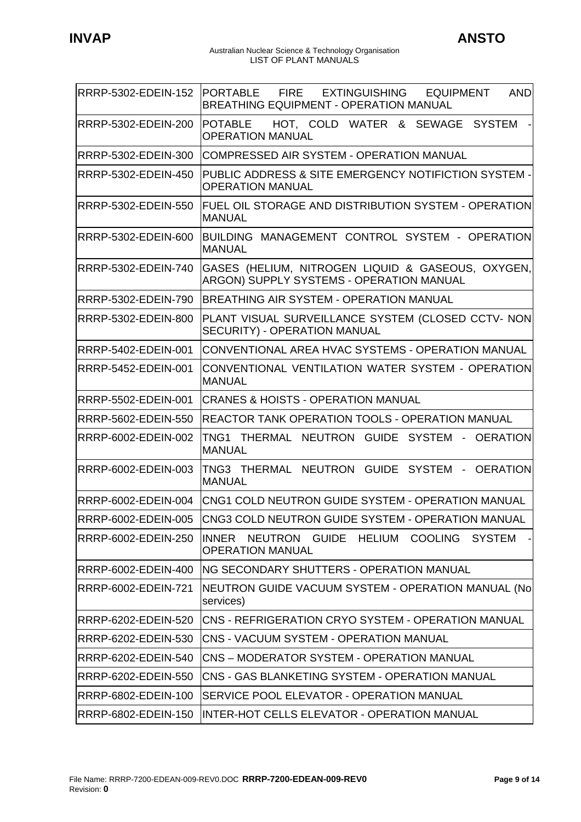| RRRP-5302-EDEIN-152 PORTABLE | FIRE EXTINGUISHING EQUIPMENT<br><b>AND</b><br><b>BREATHING EQUIPMENT - OPERATION MANUAL</b>   |
|------------------------------|-----------------------------------------------------------------------------------------------|
| RRRP-5302-EDEIN-200          | <b>POTABLE</b><br>HOT, COLD WATER & SEWAGE SYSTEM<br><b>OPERATION MANUAL</b>                  |
| RRRP-5302-EDEIN-300          | COMPRESSED AIR SYSTEM - OPERATION MANUAL                                                      |
| RRRP-5302-EDEIN-450          | PUBLIC ADDRESS & SITE EMERGENCY NOTIFICTION SYSTEM -<br><b>OPERATION MANUAL</b>               |
| RRRP-5302-EDEIN-550          | FUEL OIL STORAGE AND DISTRIBUTION SYSTEM - OPERATION<br><b>MANUAL</b>                         |
| RRRP-5302-EDEIN-600          | BUILDING MANAGEMENT CONTROL SYSTEM - OPERATION<br><b>MANUAL</b>                               |
| RRRP-5302-EDEIN-740          | GASES (HELIUM, NITROGEN LIQUID & GASEOUS, OXYGEN,<br>ARGON) SUPPLY SYSTEMS - OPERATION MANUAL |
| RRRP-5302-EDEIN-790          | BREATHING AIR SYSTEM - OPERATION MANUAL                                                       |
| RRRP-5302-EDEIN-800          | PLANT VISUAL SURVEILLANCE SYSTEM (CLOSED CCTV- NON<br>SECURITY) - OPERATION MANUAL            |
| RRRP-5402-EDEIN-001          | CONVENTIONAL AREA HVAC SYSTEMS - OPERATION MANUAL                                             |
| RRRP-5452-EDEIN-001          | CONVENTIONAL VENTILATION WATER SYSTEM - OPERATION<br><b>MANUAL</b>                            |
| RRRP-5502-EDEIN-001          | ICRANES & HOISTS - OPERATION MANUAL                                                           |
| RRRP-5602-EDEIN-550          | REACTOR TANK OPERATION TOOLS - OPERATION MANUAL                                               |
| RRRP-6002-EDEIN-002          | TNG1 THERMAL NEUTRON GUIDE SYSTEM - OERATION<br><b>MANUAL</b>                                 |
| RRRP-6002-EDEIN-003          | TNG3 THERMAL NEUTRON GUIDE SYSTEM - OERATION<br><b>MANUAL</b>                                 |
| RRRP-6002-EDEIN-004          | CNG1 COLD NEUTRON GUIDE SYSTEM - OPERATION MANUAL                                             |
| RRRP-6002-EDEIN-005          | CNG3 COLD NEUTRON GUIDE SYSTEM - OPERATION MANUAL                                             |
| RRRP-6002-EDEIN-250          | NEUTRON GUIDE HELIUM COOLING SYSTEM<br>INNER<br>۰I<br><b>OPERATION MANUAL</b>                 |
| RRRP-6002-EDEIN-400          | <b>ING SECONDARY SHUTTERS - OPERATION MANUAL</b>                                              |
| RRRP-6002-EDEIN-721          | NEUTRON GUIDE VACUUM SYSTEM - OPERATION MANUAL (No<br>services)                               |
| RRRP-6202-EDEIN-520          | ICNS - REFRIGERATION CRYO SYSTEM - OPERATION MANUAL                                           |
| RRRP-6202-EDEIN-530          | ICNS - VACUUM SYSTEM - OPERATION MANUAL                                                       |
| RRRP-6202-EDEIN-540          | <b>CNS - MODERATOR SYSTEM - OPERATION MANUAL</b>                                              |
| RRRP-6202-EDEIN-550          | CNS - GAS BLANKETING SYSTEM - OPERATION MANUAL                                                |
| RRRP-6802-EDEIN-100          | SERVICE POOL ELEVATOR - OPERATION MANUAL                                                      |
| RRRP-6802-EDEIN-150          | <b>INTER-HOT CELLS ELEVATOR - OPERATION MANUAL</b>                                            |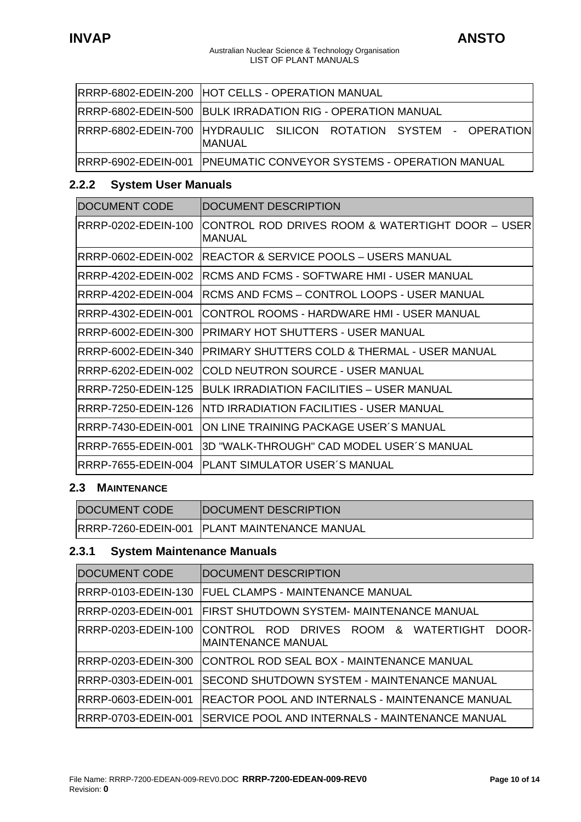#### Australian Nuclear Science & Technology Organisation LIST OF PLANT MANUALS

<span id="page-9-0"></span>

| RRRP-6802-EDEIN-200 HOT CELLS - OPERATION MANUAL                               |
|--------------------------------------------------------------------------------|
| RRRP-6802-EDEIN-500 BULK IRRADATION RIG - OPERATION MANUAL                     |
| RRRP-6802-EDEIN-700  HYDRAULIC SILICON ROTATION SYSTEM - OPERATION <br>IMANUAL |
| RRRP-6902-EDEIN-001   PNEUMATIC CONVEYOR SYSTEMS - OPERATION MANUAL            |

# **2.2.2 System User Manuals**

| <b>DOCUMENT CODE</b> | DOCUMENT DESCRIPTION                                              |
|----------------------|-------------------------------------------------------------------|
| IRRRP-0202-EDEIN-100 | CONTROL ROD DRIVES ROOM & WATERTIGHT DOOR – USER<br><b>MANUAL</b> |
| RRRP-0602-EDEIN-002  | <b>REACTOR &amp; SERVICE POOLS – USERS MANUAL</b>                 |
| RRRP-4202-EDEIN-002  | IRCMS AND FCMS - SOFTWARE HMI - USER MANUAL                       |
| RRRP-4202-EDEIN-004  | RCMS AND FCMS - CONTROL LOOPS - USER MANUAL                       |
| IRRRP-4302-EDEIN-001 | ICONTROL ROOMS - HARDWARE HMI - USER MANUAL                       |
| IRRRP-6002-EDEIN-300 | PRIMARY HOT SHUTTERS - USER MANUAL                                |
| IRRRP-6002-EDEIN-340 | IPRIMARY SHUTTERS COLD & THERMAL - USER MANUAL                    |
| RRRP-6202-EDEIN-002  | COLD NEUTRON SOURCE - USER MANUAL                                 |
| RRRP-7250-EDEIN-125  | <b>BULK IRRADIATION FACILITIES – USER MANUAL</b>                  |
| RRRP-7250-EDEIN-126  | INTD IRRADIATION FACILITIES - USER MANUAL                         |
| RRRP-7430-EDEIN-001  | ON LINE TRAINING PACKAGE USER'S MANUAL                            |
| RRRP-7655-EDEIN-001  | 3D "WALK-THROUGH" CAD MODEL USER´S MANUAL                         |
| RRRP-7655-EDEIN-004  | <b>IPLANT SIMULATOR USER'S MANUAL</b>                             |

# **2.3 MAINTENANCE**

| <b>DOCUMENT CODE</b> | <b>IDOCUMENT DESCRIPTION</b>                        |
|----------------------|-----------------------------------------------------|
|                      | <b>RRRP-7260-EDEIN-001 PLANT MAINTENANCE MANUAL</b> |

# **2.3.1 System Maintenance Manuals**

| <b>DOCUMENT CODE</b> | <b>DOCUMENT DESCRIPTION</b>                                                 |
|----------------------|-----------------------------------------------------------------------------|
| RRRP-0103-EDEIN-130  | <b>FUEL CLAMPS - MAINTENANCE MANUAL</b>                                     |
| RRRP-0203-EDEIN-001  | FIRST SHUTDOWN SYSTEM- MAINTENANCE MANUAL                                   |
| RRRP-0203-EDEIN-100  | DOOR-<br>ICONTROL ROD DRIVES ROOM & WATERTIGHT<br><b>MAINTENANCE MANUAL</b> |
| RRRP-0203-EDEIN-300  | CONTROL ROD SEAL BOX - MAINTENANCE MANUAL                                   |
| RRRP-0303-EDEIN-001  | SECOND SHUTDOWN SYSTEM - MAINTENANCE MANUAL                                 |
| RRRP-0603-EDEIN-001  | REACTOR POOL AND INTERNALS - MAINTENANCE MANUAL                             |
| RRRP-0703-EDEIN-001  | SERVICE POOL AND INTERNALS - MAINTENANCE MANUAL                             |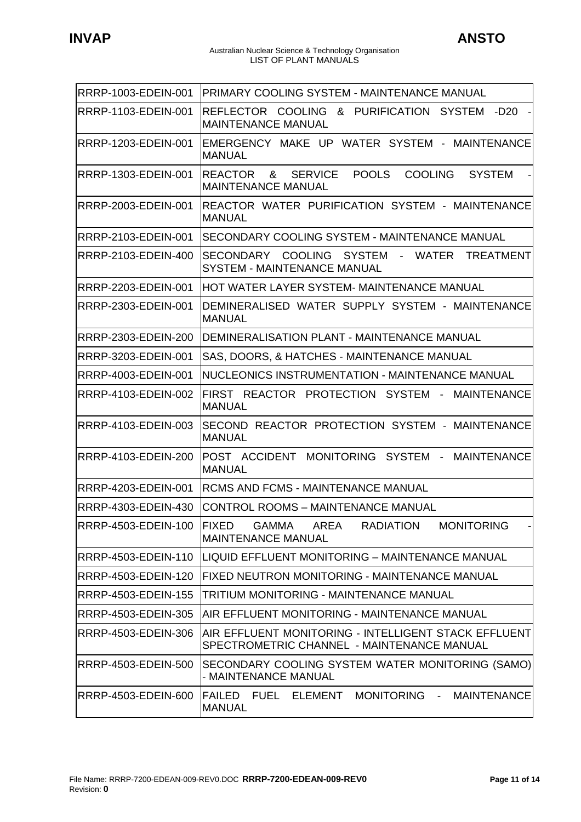| RRRP-1003-EDEIN-001        | PRIMARY COOLING SYSTEM - MAINTENANCE MANUAL                                                                           |
|----------------------------|-----------------------------------------------------------------------------------------------------------------------|
| RRRP-1103-EDEIN-001        | REFLECTOR COOLING<br>& PURIFICATION SYSTEM -D20<br><b>MAINTENANCE MANUAL</b>                                          |
| RRRP-1203-EDEIN-001        | EMERGENCY MAKE UP WATER SYSTEM - MAINTENANCE<br><b>MANUAL</b>                                                         |
| RRRP-1303-EDEIN-001        | <b>POOLS</b><br><b>COOLING</b><br><b>REACTOR</b><br>&<br><b>SERVICE</b><br><b>SYSTEM</b><br><b>MAINTENANCE MANUAL</b> |
| RRRP-2003-EDEIN-001        | REACTOR WATER PURIFICATION SYSTEM - MAINTENANCE<br><b>MANUAL</b>                                                      |
| RRRP-2103-EDEIN-001        | SECONDARY COOLING SYSTEM - MAINTENANCE MANUAL                                                                         |
| RRRP-2103-EDEIN-400        | SECONDARY COOLING SYSTEM -<br>WATER<br><b>TREATMENT</b><br><b>SYSTEM - MAINTENANCE MANUAL</b>                         |
| RRRP-2203-EDEIN-001        | HOT WATER LAYER SYSTEM- MAINTENANCE MANUAL                                                                            |
| <b>RRRP-2303-EDEIN-001</b> | DEMINERALISED WATER SUPPLY SYSTEM - MAINTENANCE<br><b>MANUAL</b>                                                      |
| RRRP-2303-EDEIN-200        | DEMINERALISATION PLANT - MAINTENANCE MANUAL                                                                           |
| <b>RRRP-3203-EDEIN-001</b> | SAS, DOORS, & HATCHES - MAINTENANCE MANUAL                                                                            |
| <b>RRRP-4003-EDEIN-001</b> | NUCLEONICS INSTRUMENTATION - MAINTENANCE MANUAL                                                                       |
| RRRP-4103-EDEIN-002        | FIRST REACTOR PROTECTION SYSTEM -<br><b>MAINTENANCE</b><br><b>MANUAL</b>                                              |
| RRRP-4103-EDEIN-003        | SECOND REACTOR PROTECTION SYSTEM - MAINTENANCE<br><b>MANUAL</b>                                                       |
| RRRP-4103-EDEIN-200        | POST ACCIDENT<br>SYSTEM - MAINTENANCE<br><b>MONITORING</b><br><b>MANUAL</b>                                           |
| RRRP-4203-EDEIN-001        | RCMS AND FCMS - MAINTENANCE MANUAL                                                                                    |
| RRRP-4303-EDEIN-430        | <b>CONTROL ROOMS - MAINTENANCE MANUAL</b>                                                                             |
| RRRP-4503-EDEIN-100        | FIXED<br><b>GAMMA</b><br>AREA<br><b>RADIATION</b><br><b>MONITORING</b><br><b>MAINTENANCE MANUAL</b>                   |
| <b>RRRP-4503-EDEIN-110</b> | LIQUID EFFLUENT MONITORING - MAINTENANCE MANUAL                                                                       |
| RRRP-4503-EDEIN-120        | FIXED NEUTRON MONITORING - MAINTENANCE MANUAL                                                                         |
| RRRP-4503-EDEIN-155        | TRITIUM MONITORING - MAINTENANCE MANUAL                                                                               |
| RRRP-4503-EDEIN-305        | AIR EFFLUENT MONITORING - MAINTENANCE MANUAL                                                                          |
| RRRP-4503-EDEIN-306        | AIR EFFLUENT MONITORING - INTELLIGENT STACK EFFLUENT<br>SPECTROMETRIC CHANNEL - MAINTENANCE MANUAL                    |
| RRRP-4503-EDEIN-500        | SECONDARY COOLING SYSTEM WATER MONITORING (SAMO)<br>- MAINTENANCE MANUAL                                              |
| RRRP-4503-EDEIN-600        | FAILED FUEL ELEMENT<br>MONITORING -<br><b>MAINTENANCE</b><br><b>MANUAL</b>                                            |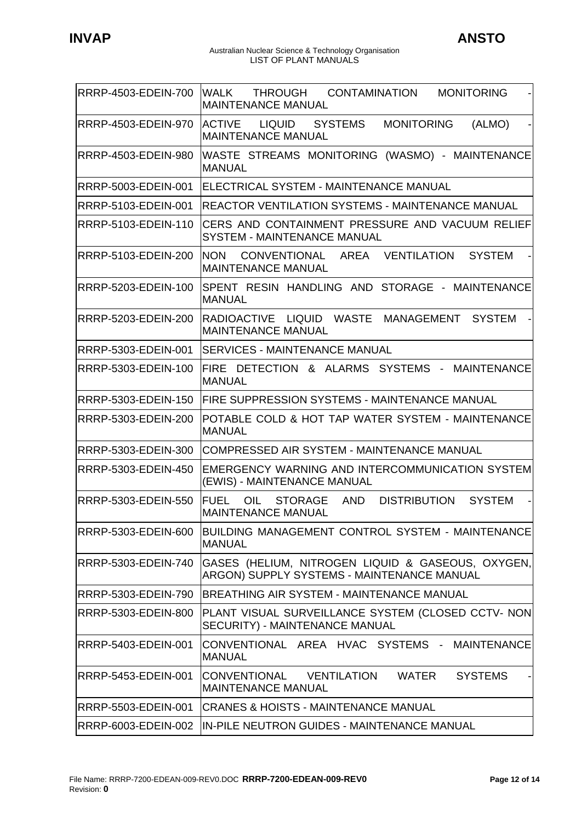Australian Nuclear Science & Technology Organisation LIST OF PLANT MANUALS

| RRRP-4503-EDEIN-700 | lWALK<br>THROUGH<br>CONTAMINATION<br><b>MONITORING</b><br><b>MAINTENANCE MANUAL</b>                                     |
|---------------------|-------------------------------------------------------------------------------------------------------------------------|
| RRRP-4503-EDEIN-970 | <b>ACTIVE</b><br>LIQUID<br><b>MONITORING</b><br><b>SYSTEMS</b><br>(ALMO)<br><b>MAINTENANCE MANUAL</b>                   |
| RRRP-4503-EDEIN-980 | WASTE STREAMS MONITORING (WASMO) - MAINTENANCE<br><b>MANUAL</b>                                                         |
| RRRP-5003-EDEIN-001 | ELECTRICAL SYSTEM - MAINTENANCE MANUAL                                                                                  |
| RRRP-5103-EDEIN-001 | <b>REACTOR VENTILATION SYSTEMS - MAINTENANCE MANUAL</b>                                                                 |
| RRRP-5103-EDEIN-110 | CERS AND CONTAINMENT PRESSURE AND VACUUM RELIEF<br><b>SYSTEM - MAINTENANCE MANUAL</b>                                   |
| RRRP-5103-EDEIN-200 | <b>NON</b><br>CONVENTIONAL AREA<br>VENTILATION<br><b>SYSTEM</b><br><b>MAINTENANCE MANUAL</b>                            |
| RRRP-5203-EDEIN-100 | SPENT RESIN HANDLING AND STORAGE - MAINTENANCE<br><b>MANUAL</b>                                                         |
| RRRP-5203-EDEIN-200 | RADIOACTIVE LIQUID WASTE<br>MANAGEMENT<br><b>SYSTEM</b><br><b>MAINTENANCE MANUAL</b>                                    |
| RRRP-5303-EDEIN-001 | <b>SERVICES - MAINTENANCE MANUAL</b>                                                                                    |
| RRRP-5303-EDEIN-100 | FIRE DETECTION & ALARMS SYSTEMS - MAINTENANCE<br><b>MANUAL</b>                                                          |
| RRRP-5303-EDEIN-150 | <b>FIRE SUPPRESSION SYSTEMS - MAINTENANCE MANUAL</b>                                                                    |
| RRRP-5303-EDEIN-200 | POTABLE COLD & HOT TAP WATER SYSTEM - MAINTENANCE<br><b>MANUAL</b>                                                      |
| RRRP-5303-EDEIN-300 | COMPRESSED AIR SYSTEM - MAINTENANCE MANUAL                                                                              |
| RRRP-5303-EDEIN-450 | <b>EMERGENCY WARNING AND INTERCOMMUNICATION SYSTEM</b><br>(EWIS) - MAINTENANCE MANUAL                                   |
| RRRP-5303-EDEIN-550 | <b>FUEL</b><br>OIL<br><b>STORAGE</b><br><b>AND</b><br><b>DISTRIBUTION</b><br><b>SYSTEM</b><br><b>MAINTENANCE MANUAL</b> |
| RRRP-5303-EDEIN-600 | BUILDING MANAGEMENT CONTROL SYSTEM - MAINTENANCE<br><b>MANUAL</b>                                                       |
| RRRP-5303-EDEIN-740 | GASES (HELIUM, NITROGEN LIQUID & GASEOUS, OXYGEN,<br>ARGON) SUPPLY SYSTEMS - MAINTENANCE MANUAL                         |
| RRRP-5303-EDEIN-790 | <b>IBREATHING AIR SYSTEM - MAINTENANCE MANUAL</b>                                                                       |
| RRRP-5303-EDEIN-800 | PLANT VISUAL SURVEILLANCE SYSTEM (CLOSED CCTV- NON)<br>SECURITY) - MAINTENANCE MANUAL                                   |
| RRRP-5403-EDEIN-001 | CONVENTIONAL AREA HVAC SYSTEMS - MAINTENANCE<br><b>MANUAL</b>                                                           |
| RRRP-5453-EDEIN-001 | CONVENTIONAL VENTILATION<br><b>SYSTEMS</b><br>WATER<br><b>MAINTENANCE MANUAL</b>                                        |
| RRRP-5503-EDEIN-001 | <b>CRANES &amp; HOISTS - MAINTENANCE MANUAL</b>                                                                         |
| RRRP-6003-EDEIN-002 | IN-PILE NEUTRON GUIDES - MAINTENANCE MANUAL                                                                             |

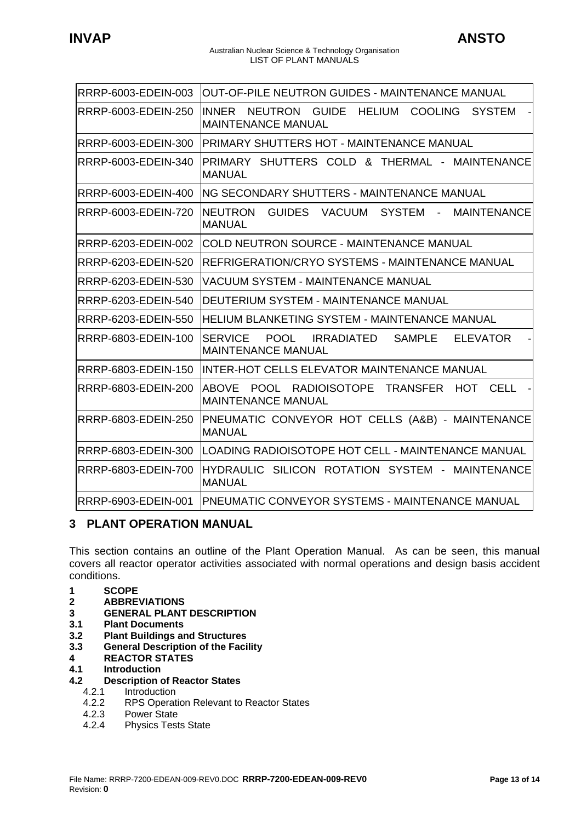#### Australian Nuclear Science & Technology Organisation LIST OF PLANT MANUALS

<span id="page-12-0"></span>

| RRRP-6003-EDEIN-003 | OUT-OF-PILE NEUTRON GUIDES - MAINTENANCE MANUAL                                                                          |
|---------------------|--------------------------------------------------------------------------------------------------------------------------|
| RRRP-6003-EDEIN-250 | <b>INNER</b><br>NEUTRON<br><b>GUIDE</b><br><b>HELIUM</b><br><b>COOLING</b><br><b>SYSTEM</b><br><b>MAINTENANCE MANUAL</b> |
| RRRP-6003-EDEIN-300 | PRIMARY SHUTTERS HOT - MAINTENANCE MANUAL                                                                                |
| RRRP-6003-EDEIN-340 | PRIMARY SHUTTERS COLD & THERMAL - MAINTENANCE<br><b>MANUAL</b>                                                           |
| RRRP-6003-EDEIN-400 | ING SECONDARY SHUTTERS - MAINTENANCE MANUAL                                                                              |
| RRRP-6003-EDEIN-720 | <b>NEUTRON</b><br><b>GUIDES</b><br><b>VACUUM</b><br><b>SYSTEM</b><br><b>MAINTENANCE</b><br><b>MANUAL</b>                 |
| RRRP-6203-EDEIN-002 | <b>COLD NEUTRON SOURCE - MAINTENANCE MANUAL</b>                                                                          |
| RRRP-6203-EDEIN-520 | REFRIGERATION/CRYO SYSTEMS - MAINTENANCE MANUAL                                                                          |
| RRRP-6203-EDEIN-530 | VACUUM SYSTEM - MAINTENANCE MANUAL                                                                                       |
| RRRP-6203-EDEIN-540 | DEUTERIUM SYSTEM - MAINTENANCE MANUAL                                                                                    |
| RRRP-6203-EDEIN-550 | <b>HELIUM BLANKETING SYSTEM - MAINTENANCE MANUAL</b>                                                                     |
| RRRP-6803-EDEIN-100 | <b>POOL</b><br><b>IRRADIATED</b><br><b>SAMPLE</b><br><b>SERVICE</b><br><b>ELEVATOR</b><br><b>MAINTENANCE MANUAL</b>      |
| RRRP-6803-EDEIN-150 | INTER-HOT CELLS ELEVATOR MAINTENANCE MANUAL                                                                              |
| RRRP-6803-EDEIN-200 | <b>POOL</b><br>RADIOISOTOPE TRANSFER<br><b>ABOVE</b><br><b>HOT</b><br>CELL<br><b>MAINTENANCE MANUAL</b>                  |
| RRRP-6803-EDEIN-250 | PNEUMATIC CONVEYOR HOT CELLS (A&B) - MAINTENANCE<br><b>MANUAL</b>                                                        |
| RRRP-6803-EDEIN-300 | LOADING RADIOISOTOPE HOT CELL - MAINTENANCE MANUAL                                                                       |
| RRRP-6803-EDEIN-700 | HYDRAULIC SILICON ROTATION SYSTEM - MAINTENANCE<br><b>MANUAL</b>                                                         |
| RRRP-6903-EDEIN-001 | <b>PNEUMATIC CONVEYOR SYSTEMS - MAINTENANCE MANUAL</b>                                                                   |

# **3 PLANT OPERATION MANUAL**

This section contains an outline of the Plant Operation Manual. As can be seen, this manual covers all reactor operator activities associated with normal operations and design basis accident conditions.

- **1 SCOPE**
- **2 ABBREVIATIONS**
- **3 GENERAL PLANT DESCRIPTION**
- **3.1 Plant Documents**
- **3.2 Plant Buildings and Structures**
- **3.3 General Description of the Facility**
- **4 REACTOR STATES**
- **4.1 Introduction**

## **4.2 Description of Reactor States**

- 4.2.1 Introduction<br>4.2.2 RPS Operat
- 4.2.2 RPS Operation Relevant to Reactor States<br>4.2.3 Power State
- Power State
- 4.2.4 Physics Tests State